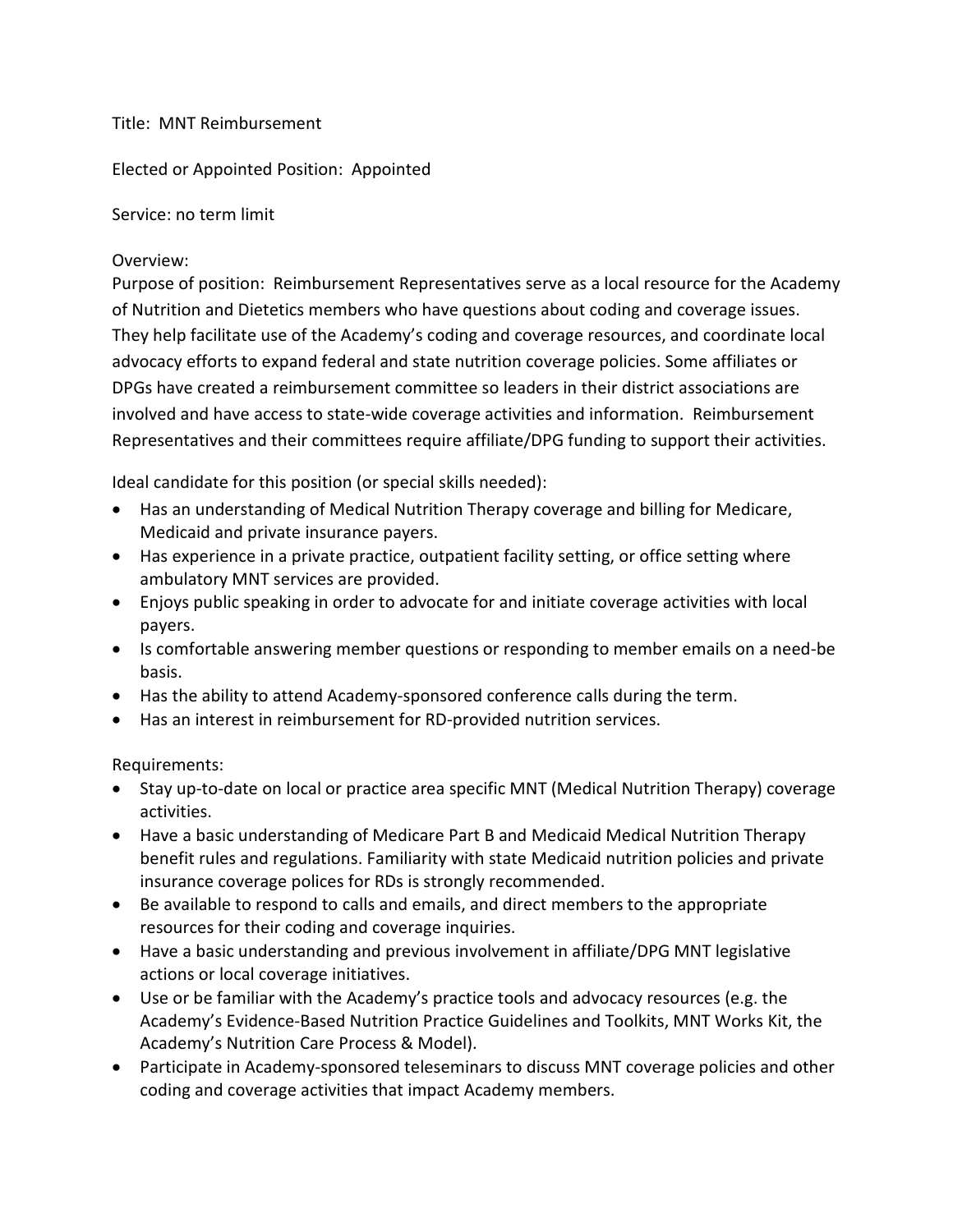## Title: MNT Reimbursement

Elected or Appointed Position: Appointed

Service: no term limit

## Overview:

Purpose of position: Reimbursement Representatives serve as a local resource for the Academy of Nutrition and Dietetics members who have questions about coding and coverage issues. They help facilitate use of the Academy's coding and coverage resources, and coordinate local advocacy efforts to expand federal and state nutrition coverage policies. Some affiliates or DPGs have created a reimbursement committee so leaders in their district associations are involved and have access to state-wide coverage activities and information. Reimbursement Representatives and their committees require affiliate/DPG funding to support their activities.

Ideal candidate for this position (or special skills needed):

- Has an understanding of Medical Nutrition Therapy coverage and billing for Medicare, Medicaid and private insurance payers.
- Has experience in a private practice, outpatient facility setting, or office setting where ambulatory MNT services are provided.
- Enjoys public speaking in order to advocate for and initiate coverage activities with local payers.
- Is comfortable answering member questions or responding to member emails on a need-be basis.
- Has the ability to attend Academy-sponsored conference calls during the term.
- Has an interest in reimbursement for RD-provided nutrition services.

Requirements:

- Stay up-to-date on local or practice area specific MNT (Medical Nutrition Therapy) coverage activities.
- Have a basic understanding of Medicare Part B and Medicaid Medical Nutrition Therapy benefit rules and regulations. Familiarity with state Medicaid nutrition policies and private insurance coverage polices for RDs is strongly recommended.
- Be available to respond to calls and emails, and direct members to the appropriate resources for their coding and coverage inquiries.
- Have a basic understanding and previous involvement in affiliate/DPG MNT legislative actions or local coverage initiatives.
- Use or be familiar with the Academy's practice tools and advocacy resources (e.g. the Academy's Evidence-Based Nutrition Practice Guidelines and Toolkits, MNT Works Kit, the Academy's Nutrition Care Process & Model).
- Participate in Academy-sponsored teleseminars to discuss MNT coverage policies and other coding and coverage activities that impact Academy members.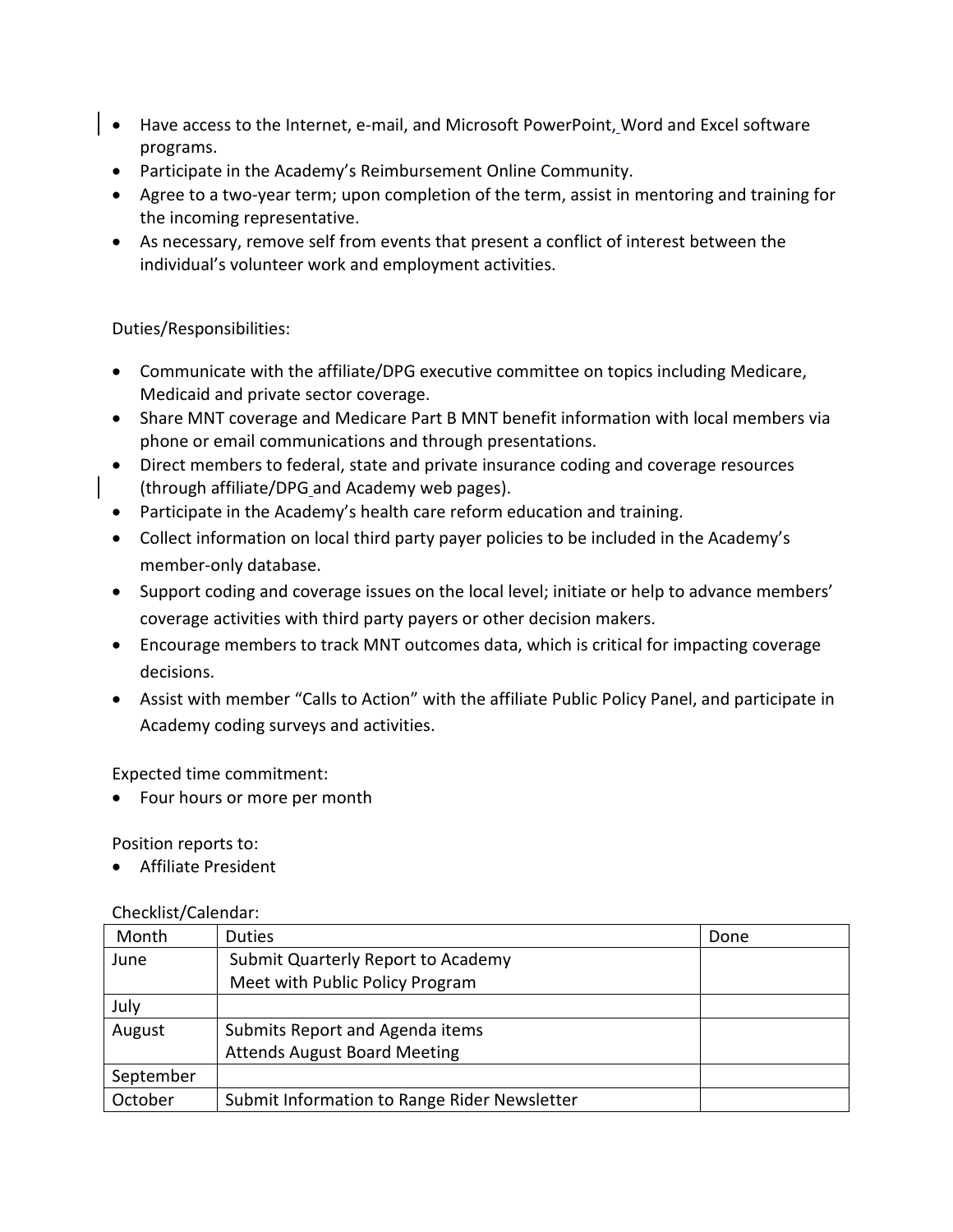- Have access to the Internet, e-mail, and Microsoft PowerPoint, Word and Excel software programs.
	- Participate in the Academy's Reimbursement Online Community.
	- Agree to a two-year term; upon completion of the term, assist in mentoring and training for the incoming representative.
- As necessary, remove self from events that present a conflict of interest between the individual's volunteer work and employment activities.

Duties/Responsibilities:

- Communicate with the affiliate/DPG executive committee on topics including Medicare, Medicaid and private sector coverage.
- Share MNT coverage and Medicare Part B MNT benefit information with local members via phone or email communications and through presentations.
- Direct members to federal, state and private insurance coding and coverage resources (through affiliate/DPG and Academy web pages).
- Participate in the Academy's health care reform education and training.
- Collect information on local third party payer policies to be included in the Academy's member-only database.
- Support coding and coverage issues on the local level; initiate or help to advance members' coverage activities with third party payers or other decision makers.
- Encourage members to track MNT outcomes data, which is critical for impacting coverage decisions.
- Assist with member "Calls to Action" with the affiliate Public Policy Panel, and participate in Academy coding surveys and activities.

Expected time commitment:

• Four hours or more per month

Position reports to:

• Affiliate President

## Checklist/Calendar:

| Month     | <b>Duties</b>                                | Done |
|-----------|----------------------------------------------|------|
| June      | Submit Quarterly Report to Academy           |      |
|           | Meet with Public Policy Program              |      |
| July      |                                              |      |
| August    | Submits Report and Agenda items              |      |
|           | <b>Attends August Board Meeting</b>          |      |
| September |                                              |      |
| October   | Submit Information to Range Rider Newsletter |      |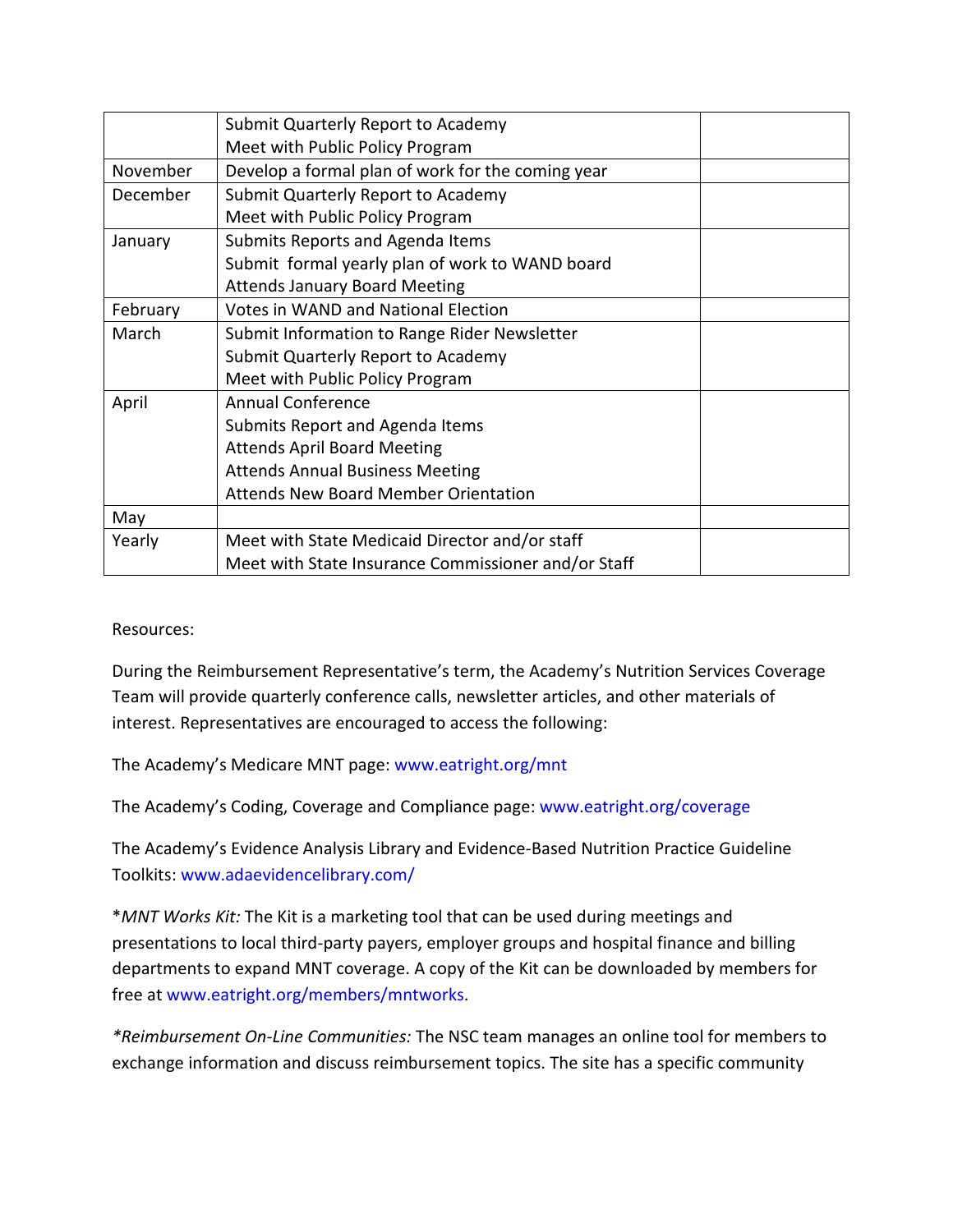|          | Submit Quarterly Report to Academy                  |  |
|----------|-----------------------------------------------------|--|
|          | Meet with Public Policy Program                     |  |
| November | Develop a formal plan of work for the coming year   |  |
| December | Submit Quarterly Report to Academy                  |  |
|          | Meet with Public Policy Program                     |  |
| January  | Submits Reports and Agenda Items                    |  |
|          | Submit formal yearly plan of work to WAND board     |  |
|          | <b>Attends January Board Meeting</b>                |  |
| February | <b>Votes in WAND and National Election</b>          |  |
| March    | Submit Information to Range Rider Newsletter        |  |
|          | Submit Quarterly Report to Academy                  |  |
|          | Meet with Public Policy Program                     |  |
| April    | <b>Annual Conference</b>                            |  |
|          | Submits Report and Agenda Items                     |  |
|          | <b>Attends April Board Meeting</b>                  |  |
|          | <b>Attends Annual Business Meeting</b>              |  |
|          | <b>Attends New Board Member Orientation</b>         |  |
| May      |                                                     |  |
| Yearly   | Meet with State Medicaid Director and/or staff      |  |
|          | Meet with State Insurance Commissioner and/or Staff |  |

Resources:

During the Reimbursement Representative's term, the Academy's Nutrition Services Coverage Team will provide quarterly conference calls, newsletter articles, and other materials of interest. Representatives are encouraged to access the following:

The Academy's Medicare MNT page: www.eatright.org/mnt

The Academy's Coding, Coverage and Compliance page: www.eatright.org/coverage

The Academy's Evidence Analysis Library and Evidence-Based Nutrition Practice Guideline Toolkits: www.adaevidencelibrary.com/

\**MNT Works Kit:* The Kit is a marketing tool that can be used during meetings and presentations to local third-party payers, employer groups and hospital finance and billing departments to expand MNT coverage. A copy of the Kit can be downloaded by members for free at www.eatright.org/members/mntworks.

*\*Reimbursement On-Line Communities:* The NSC team manages an online tool for members to exchange information and discuss reimbursement topics. The site has a specific community